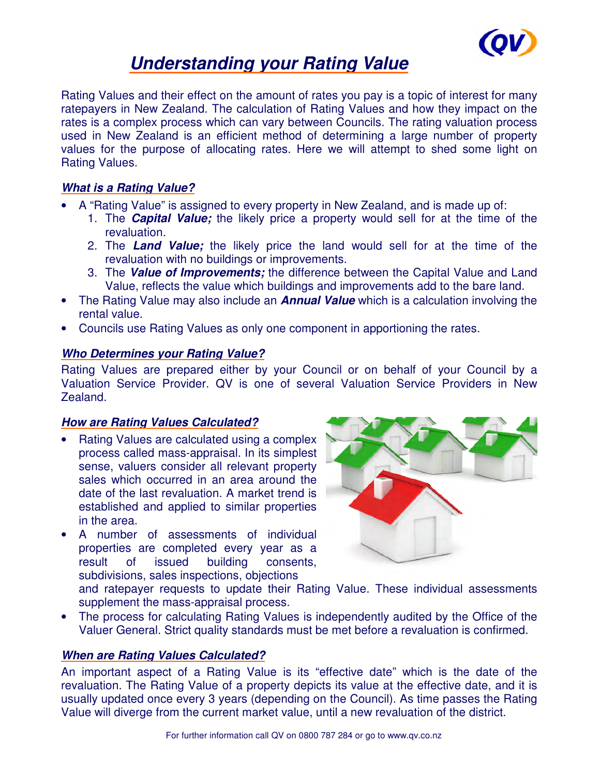

# **Understanding your Rating Value**

Rating Values and their effect on the amount of rates you pay is a topic of interest for many ratepayers in New Zealand. The calculation of Rating Values and how they impact on the rates is a complex process which can vary between Councils. The rating valuation process used in New Zealand is an efficient method of determining a large number of property values for the purpose of allocating rates. Here we will attempt to shed some light on Rating Values.

# **What is a Rating Value?**

- A "Rating Value" is assigned to every property in New Zealand, and is made up of:
	- 1. The **Capital Value;** the likely price a property would sell for at the time of the revaluation.
	- 2. The **Land Value;** the likely price the land would sell for at the time of the revaluation with no buildings or improvements.
	- 3. The **Value of Improvements;** the difference between the Capital Value and Land Value, reflects the value which buildings and improvements add to the bare land.
- The Rating Value may also include an **Annual Value** which is a calculation involving the rental value.
- Councils use Rating Values as only one component in apportioning the rates.

## **Who Determines your Rating Value?**

Rating Values are prepared either by your Council or on behalf of your Council by a Valuation Service Provider. QV is one of several Valuation Service Providers in New Zealand.

## **How are Rating Values Calculated?**

- Rating Values are calculated using a complex process called mass-appraisal. In its simplest sense, valuers consider all relevant property sales which occurred in an area around the date of the last revaluation. A market trend is established and applied to similar properties in the area.
- A number of assessments of individual properties are completed every year as a result of issued building consents, subdivisions, sales inspections, objections



and ratepayer requests to update their Rating Value. These individual assessments supplement the mass-appraisal process.

• The process for calculating Rating Values is independently audited by the Office of the Valuer General. Strict quality standards must be met before a revaluation is confirmed.

## **When are Rating Values Calculated?**

An important aspect of a Rating Value is its "effective date" which is the date of the revaluation. The Rating Value of a property depicts its value at the effective date, and it is usually updated once every 3 years (depending on the Council). As time passes the Rating Value will diverge from the current market value, until a new revaluation of the district.